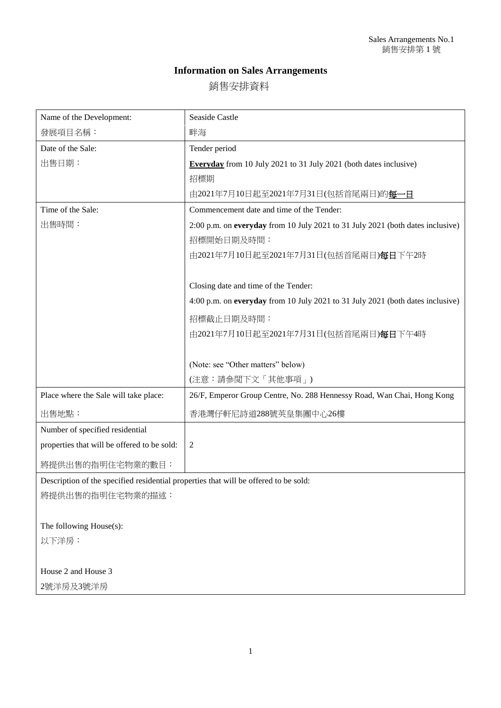## **Information on Sales Arrangements**

銷售安排資料

| Name of the Development:                                                             | Seaside Castle                                                                 |
|--------------------------------------------------------------------------------------|--------------------------------------------------------------------------------|
| 發展項目名稱:                                                                              | 畔海                                                                             |
| Date of the Sale:                                                                    | Tender period                                                                  |
| 出售日期:                                                                                | <b>Everyday</b> from 10 July 2021 to 31 July 2021 (both dates inclusive)       |
|                                                                                      | 招標期                                                                            |
|                                                                                      | 由2021年7月10日起至2021年7月31日(包括首尾兩日)的每一日                                            |
| Time of the Sale:                                                                    | Commencement date and time of the Tender:                                      |
| 出售時間:                                                                                | 2:00 p.m. on everyday from 10 July 2021 to 31 July 2021 (both dates inclusive) |
|                                                                                      | 招標開始日期及時間:                                                                     |
|                                                                                      | 由2021年7月10日起至2021年7月31日(包括首尾兩日) <b>每日</b> 下午2時                                 |
|                                                                                      |                                                                                |
|                                                                                      | Closing date and time of the Tender:                                           |
|                                                                                      | 4:00 p.m. on everyday from 10 July 2021 to 31 July 2021 (both dates inclusive) |
|                                                                                      | 招標截止日期及時間:                                                                     |
|                                                                                      | 由2021年7月10日起至2021年7月31日(包括首尾兩日)每日下午4時                                          |
|                                                                                      |                                                                                |
|                                                                                      | (Note: see "Other matters" below)                                              |
|                                                                                      | (注意:請參閲下文「其他事項」)                                                               |
| Place where the Sale will take place:                                                | 26/F, Emperor Group Centre, No. 288 Hennessy Road, Wan Chai, Hong Kong         |
| 出售地點:                                                                                | 香港灣仔軒尼詩道288號英皇集團中心26樓                                                          |
| Number of specified residential                                                      |                                                                                |
| properties that will be offered to be sold:                                          | $\overline{2}$                                                                 |
| 將提供出售的指明住宅物業的數目:                                                                     |                                                                                |
| Description of the specified residential properties that will be offered to be sold: |                                                                                |
| 將提供出售的指明住宅物業的描述:                                                                     |                                                                                |
|                                                                                      |                                                                                |
| The following House(s):                                                              |                                                                                |
| 以下洋房:                                                                                |                                                                                |
|                                                                                      |                                                                                |
| House 2 and House 3                                                                  |                                                                                |
| 2號洋房及3號洋房                                                                            |                                                                                |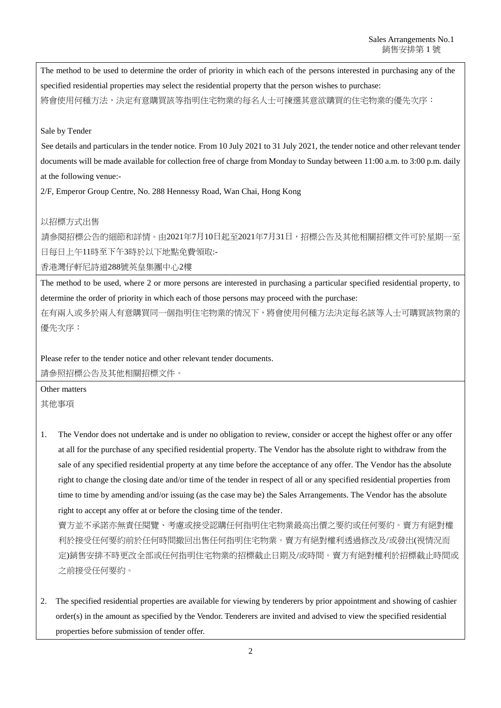The method to be used to determine the order of priority in which each of the persons interested in purchasing any of the specified residential properties may select the residential property that the person wishes to purchase: 將會使用何種方法,決定有意購買該等指明住宅物業的每名人士可揀選其意欲購買的住宅物業的優先次序:

## Sale by Tender

See details and particulars in the tender notice. From 10 July 2021 to 31 July 2021, the tender notice and other relevant tender documents will be made available for collection free of charge from Monday to Sunday between 11:00 a.m. to 3:00 p.m. daily at the following venue:-

2/F, Emperor Group Centre, No. 288 Hennessy Road, Wan Chai, Hong Kong

## 以招標方式出售

請參閱招標公告的細節和詳情。由2021年7月10日起至2021年7月31日,招標公告及其他相關招標文件可於星期一至 日每日上午11時至下午3時於以下地點免費領取:-

香港灣仔軒尼詩道288號英皇集團中心2樓

The method to be used, where 2 or more persons are interested in purchasing a particular specified residential property, to determine the order of priority in which each of those persons may proceed with the purchase:

在有兩人或多於兩人有意購買同一個指明住宅物業的情況下,將會使用何種方法決定每名該等人士可購買該物業的 優先次序:

Please refer to the tender notice and other relevant tender documents. 請參照招標公告及其他相關招標文件。

Other matters 其他事項

1. The Vendor does not undertake and is under no obligation to review, consider or accept the highest offer or any offer at all for the purchase of any specified residential property. The Vendor has the absolute right to withdraw from the sale of any specified residential property at any time before the acceptance of any offer. The Vendor has the absolute right to change the closing date and/or time of the tender in respect of all or any specified residential properties from time to time by amending and/or issuing (as the case may be) the Sales Arrangements. The Vendor has the absolute right to accept any offer at or before the closing time of the tender.

賣方並不承諾亦無責任閱覽、考慮或接受認購任何指明住宅物業最高出價之要約或任何要約。賣方有絕對權 利於接受任何要約前於任何時間撤回出售任何指明住宅物業。賣方有絕對權利透過修改及/或發出(視情況而 定)銷售安排不時更改全部或任何指明住宅物業的招標截止日期及/或時間。賣方有絕對權利於招標截止時間或 之前接受任何要約。

2. The specified residential properties are available for viewing by tenderers by prior appointment and showing of cashier order(s) in the amount as specified by the Vendor. Tenderers are invited and advised to view the specified residential properties before submission of tender offer.